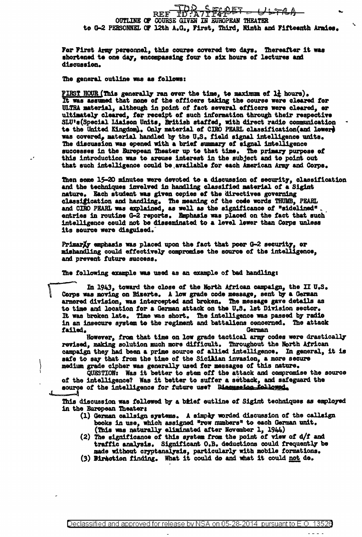## REF ID:A7TFF4AET - ULTRA te G-2 PERSONNEL OF 12th A.G., First, Third, Ninth and Fifteenth Armies.

For First Army personnel, this course covered two days. Thereafter it was shortened to one day, encompassing four to six hours of lectures and discussion.

The general outline was as follows:

FIRST HOUR (This generally ran over the time, to maximum of  $1\frac{1}{4}$  hours).<br>It was assumed that none of the officers taking the course were cleared for ULTRA material, although in point of fact several efficers were cleared, or ultimately cleared, for receipt of such information through their respective SLU's (Special Liaison Units, British staffed, with direct radio communication to the United Kingdom). Only material of CIRO PEARL classification (and lewere was covered, material handled by the U.S. field signal intelligence units. The discussion was opened with a brief summary of signal intelligence successes in the European Theater up to that time. The primary purpose of this introduction was to arouse interest in the subject and to point out that such intelligence could be available for each American Army and Corps.

Then some 15-20 minutes were devoted to a discussion of security, classification and the techniques invelved in handling classified material of a Sigint nature. Each student was given copies of the directives governing classification and handling. The meaning of the code words THUMB, PEARL and CIRO PEARL was explained, as well as the significance of "sidelined" entries in routine G-2 reports. Emphasis was placed on the fact that such intelligence could not be disseminated to a level lower than Corps unless its source were disguised.

PrimarXy emphasis was placed upon the fact that poor G-2 security, or mishandling could effectively compromise the source of the intelligence, and prevent future success.

The following example was used as an example of bad handling:

In 1943, toward the close of the North African campaign, the II U.S. Corps was moving on Bizerte. A low grade code message, sent by a German armored division, was intercepted and broken. The message gave details as to time and location for a German attack on the U.S. lst Division sector. It was broken late. Time was short. The intelligence was passed by radio in an insecure system to the regiment and battaliens concerned. The attack failed. German

However, from that time on low grade tactical army codes were drastically revised, making solution much more difficult. Throughout the North African campaign they had been a prime source of allied intelligence. In general, it is safe to say that from the time of the Sicilian invasion, a more secure medium grade cipher was generally used for messages of this nature.

QUESTION: Was it better to stem off the attack and compromise the source of the intelligence? Was it better to suffer a setback, and safeguard the source of the intelligence for future use? Bissussies followed,

This discussion was followed by a brief outline of Sigint techniques as employed in the European Theater:

- (1) German callsign systems. A simply worded discussion of the callsign books in use, which assigned "row numbers" to each German unit.
- (This was naturally eliminated after November 1,  $1944$ )<br>(2) The significance of this system from the point of view of  $d/f$  and traffic analysis. Significant O.B. deductions could frequently be made without cryptanalysis, particularly with mobile formations.
- (3) Birection finding. What it could do and what it could not do.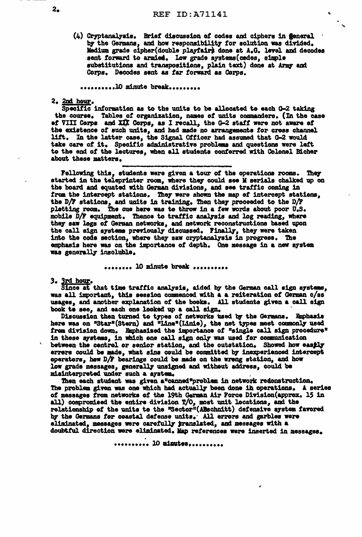(4) Cryptanalysis. Brief discussion of codes and ciphers in general by the Germans, and how responsibility for solution was divided. Medium grade cipher(double playfair) done at A.G. level and decodes sent forward to armied. Low grade systems (codes, simple substitutions and transpositions, plain text) done at Army and Corps. Decodes sent as far forward as Corps.

...........10 minute break..........

2. 2nd hour.

Specific information as to the units to be allocated to each G-2 taking the course. Tables of organization, names of units commanders. (In the case of VIII Corps and XIX Corps, as I recall, the G-2 staff were not aware of the existence of such units, and had made no arrangements for cress channel lift. In the latter case, the Signal Officer had assumed that G-2 would take care of it. Specific administrative problems and questions were left to the end of the lectures, when all students conferred with Colonel Bicher about these matters.

Following this, students were given a tour of the operations rooms. They started in the teleprinter room, where they could see M serials chalked up on the board and equated with German divisions, and see traffic coming in from the intercept stations. They were shown the map of intercept stations. the D/F stations, and units in training. Then they proceeded to the D/F pletting room. The cue here was to throw in a few words about poor U.S. mobile D/F equipment. Thence to traffic analysis and log reading, where they saw logs of German networks, and network reconstructions based upon the call sign systems previously discussed. Finally, they were taken into the code section, where they saw cryptanalysis in progress. The emphasis here was on the importance of depth. One message in a new system was generally insoluble.

........ 10 minute break ..........

3. 3rd hour.

Since at that time traffic analysis, aided by the German call sign systems, was all important, this session commenced with a a reiteration of German c/ss usages, and another explanation of the books. All students given a call sign book to see, and each one looked up a call sign.

Discussion then turned to types of networks used by the Germans. Emphasis here was on "Star"(Stern) and "Line"(Linie), the net types most commonly used frem division down. Emphasized the importance of "single call sign procedure" in these systems, in which one call sign only was used for communication between the centrel or senior station, and the outstation. Showed how easily errers could be made, what sins could be committed by inexperienced intercept operators, how D/F bearings could be made on the wreng station, and how low grade messages, generally unsigned and without address, could be misinterpreted under such a system.

Then each student was given a"canned"problem in network redonstruction. The problem given was one which had actually been done in operations. A series of messages from networks of the 19th German Air Force Division (approx. 15 in all) compromised the entire division T/O, most unit locations, and the relationship of the units to the "Sector" (ABschnitt) defensive system favored by the Germans for coastal defense units. All errors and garbles were eliminated, messages were carefully pranslated, and messages with a doubtful direction were eliminated. Map references were inserted in messages.

.......... 10 minutes..........

2.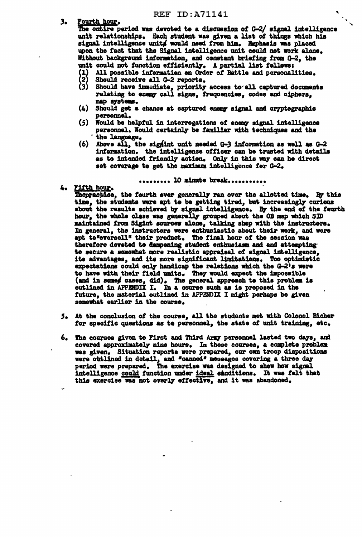- **REF ID: A71141**
- Fourth hour. 3.

The entire period was devoted to a discussion of G-2/ signal intelligence unit relationships. Each student was given a list of things which his signal intelligence units would need from him. Emphasis was placed upon the fact that the Signal intelligence unit could not work alone. Without background information, and constant briefing from G-2, the unit could not function efficiently. A partial list follows:

- (1) All possible information on Order of Battle and personalities.<br>(2) Should receive all G-2 reports.
- 
- (3) Should have immediate, priority access to all captured documents relating to enemy call signs, frequencies, codes and ciphers. map aystems.
- (4) Should get a chance at captured enemy signal and cryptographic personnel.
- (5) Would be helpful in interrogations of enemy signal intelligence personnel. Would certainly be familiar with techniques and the the language.
- (6) Above all, the signint unit needed  $G-3$  information as well as  $G-2$ information. the intelligence officer can be trusted with details as to intended friendly action. Only in this way can he direct set coverage to get the maximum intelligence for G-2.

......... 10 minute break...........

4. Fifth hour.

Theppactice, the fourth ever generally ran over the allotted time. By this time, the students were apt to be getting tired, but increasingly curious about the results achieved by signal intelligence. By the end of the fourth hour, the whole class was generally grouped about the OB map which SID maintained from Sigint sources alone, talking shep with the instructors. In general, the instructors were enthusiastic about their work, and were apt to "oversell" their product. The final hour of the session was therefore devoted to dampening student enthusiasm and and attempting to secure a somewhat more realistic appraisal of signal intelligence, its advantages, and its more significant limitations. Too optimistic expectations could only handicap the relations which the G-2's were to have with their field units. They would expect the impossible (and in some cases, did). The general appreach to this problem is outlined in APPENDIX I. In a course such as is proposed in the future, the material outlined in APPENDIX I might perhaps be given somewhat earlier in the course.

- 5. At the conclusion of the course, all the students met with Colonel Bicher for specific questions as to personnel, the state of unit training, etc.
- 6. The courses given to First and Third Army personnel lasted two days, and covered approximately nine hours. In these courses, a complete problem was given. Situation reports were prepared, our own troop dispositions were outlined in detail, and "canned" messages covering a three day period were prepared. The exercise was designed to show how signal intelligence could function under ideal sanditions. It was felt that this exercise was not overly effective, and it was abandoned.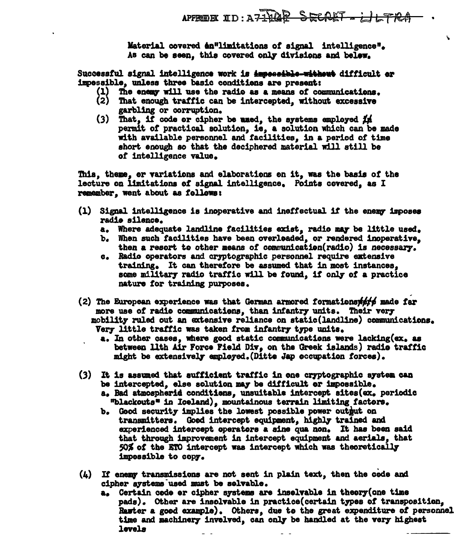Ñ.

Material covered en<sup>e</sup>limitations of signal intelligence". As can be seen, this covered only divisions and belew.

Successful signal intelligence work is impessible-without difficult or impessible, unless three basic conditions are present:

- (1) The enemy will use the radio as a means of communications.
- (2) That enough traffic can be intercepted, without excessive garbling or corruption.
- (3) That, if code or cipher be used, the systems employed  $f$   $\mu$ permit of practical solution, is, a solution which can be made with available personnel and facilities, in a period of time short enough so that the deciphered material will still be of intelligence value.

This, theme, or variations and elaborations on it, was the basis of the lecture on limitations of signal intelligence. Points covered, as I remember, went about as follows:

- (1) Signal intelligence is inoperative and ineffectual if the enemy imposes radio silence.
	- a. Where adequate landline facilities exist, radio may be little used.
	- b. When such facilities have been overloaded, or rendered inoperative. then a resort to other means of communication(radio) is necessary.
	- c. Radio operators and cryptographic personnel require extensive training. It can therefore be assumed that in most instances. some military radio traffic will be found, if only of a practice nature for training purposes.
- $(2)$  The European experience was that German armored formations  $\#f$  made far more use of radio communications, than infantry units. Their very mobility ruled out an extensive reliance on static(landline) communications. Very little traffic was taken from infantry type units.
	- a. In other cases, where good static communications were lacking(ex, as between lith Air Force Field Div, on the Greek islands) radio traffic might be extensively employed. (Ditte Jap occupation forces).
- (3) It is assumed that sufficient traffic in one cryptographic system can be intercepted, else solution may be difficult or impossible.
	- a. Bad atmospherid conditions, unsuitable intercept sites (ex. periodic "blackouts" in Iceland), mountainous terrain limiting factors.
	- b. Good security implies the lowest possible power outbut on transmitters. Good intercept equipment, highly trained and experienced intercept operators a sine qua non. It has been said that through improvement in intercept equipment and aerials. that 50% of the ETO intercept was intercept which was theoretically impossible to copy.
- (4) If enemy transmissions are not sent in plain text, then the code and cipher systems used must be solvable.
	- a. Certain code er cipher systems are inselvable in theory (one time pads). Other are insolvable in practice(certain types of transposition, Rawter a good example). Others, due to the great expenditure of personnel time and machinery invelved, can only be handled at the very highest levels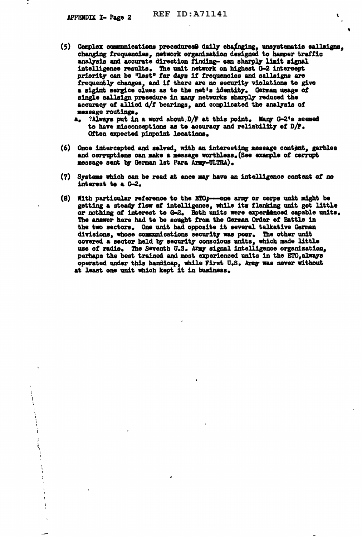- (5) Complex communications procedures@ daily chainging, unsystematic callsigns, changing frequencies, network organization designed to hamper traffic analysis and accurate direction finding- can sharply limit signal intelligence results. The unit network on highest G-2 intercept priority can be "lost" for days if frequencies and callsigns are frequently changes, and if there are no security violations to give a sigint sergice clues as to the net's identity. German usage of single callsign precedure in many networks sharply reduced the accuracy of allied d/f bearings, and complicated the analysis of message routings.
	- $a_a$  ?Always put in a word about, D/F at this point. Many G-2's seemed to have misconceptions as to accuracy and reliability of D/F. Often expected pinpoint locations.
- (6) Once intercepted and selved, with an interesting message content, garbles and corruptions can make a message worthless. (See example of corrupt message sent by German lst Para Army-ULTRA).
- (7) Systems which can be read at ence may have an intelligence content of no interest to a G-2.
- (8) With particular reference to the ETO<sub>3</sub>--one army or corps unit might be getting a steady flow of intelligence, while its flanking unit got little or nothing of interest to G-2. Beth units were experienced capable units. The answer here had to be sought from the German Order of Battle in the two sectors. One unit had opposite it several talkative German divisions, whose communications security was poer. The other unit covered a sector held by security conscious units, which made little use of radio. The Seventh U.S. Army signal intelligence organization. perhaps the best trained and most experienced units in the ETO, always operated under this handicap, while First U.S. Army was never without at least one unit which kept it in business.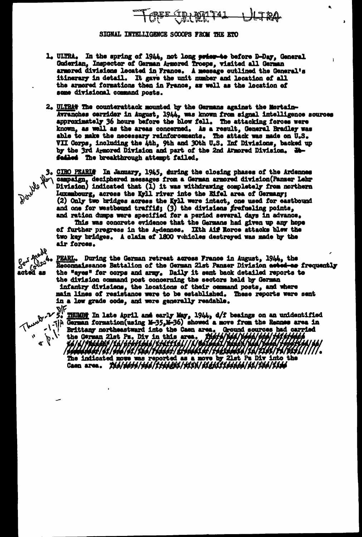

## SIGNAL INTELLIGENCE SCOOPS FROM THE ETO

- 1. ULTRA. In the spring of 1944, not long prisr-to before D-Day, General Guderian, Inspector of German Armored Troops, visited all German armored divisions located in France. A message outlined the General's itinerary in detail. It gave the unit number and location of all the armored formations then in France, as well as the location of some divisional command posts.
- 2. ULTRAV The counterattack mounted by the Germans against the Mortain-Avranches cerrider in August, 1944, was known from signal intelligence sources approximately 36 hours before the blow fell. The attacking feroes were known, as well as the areas concerned. As a result, General Bradley was able to make the necessary reinforcements. The attack was made on U.S.<br>VII Corps, including the 4th, 9th and 30th U.S. Inf Divisions, backed up<br>by the 3rd Armored Division and part of the 2nd Armored Division. Hefailed The breakthrough attempt failed.

3. CIRO PEARIS In January, 1945, during the closing phases of the Ardennes<br>b'\campaign, deciphered messages from a German armored division(Panser Lehr<br>\ Division) indicated that (1) it was withdrawing completely from north Luxembourg, across the Kyll river inte the Eifel area of Germany; (2) Only two bridges acress the Kyll were intact, one used for eastbound and one for westbound traffic; (3) the divisions frefueling points, and ration dumps were specified for a period several days in advance.

De

Bionings

gos mode

 $3^{\sigma}$   $\frac{1}{2^{\sigma}}$ 

This was concrete evidence that the Germans had given up any hope of further progress in the Ardennes. IXth Aif Rorce attacks blew the two key bridges. A claim of 1800 vehicles destroyed was made by the air forces.

PEARL. During the German retreat across France in August, 1944, the Reconnaissance Battalion of the German 21st Panser Division acted-as frequently the "eyes" for corps and army. Daily it sent back detailed reports to the division command post concerning the sectors held by German infantry divisions, the locations of their command posts, and where

and wave of the stablished. These reports were sent<br>with the stable.<br> $\sqrt{\frac{1}{2}}$  THUMBT In late April and early May, 1944, d/f beaings on an unidentified<br> $\sqrt{\frac{1}{2}}$  . THUMBT In late April and early May, 1944, d/f beaings Brittany northeastward into the Caen area. Ground sources had carried<br>the German 21st Ps. Div in this area. There will had the fifthing The indicated move was reported as a move by 21st Ps Div into the induced move was reported as a move by 21st Ps Div into t Ps Div into the